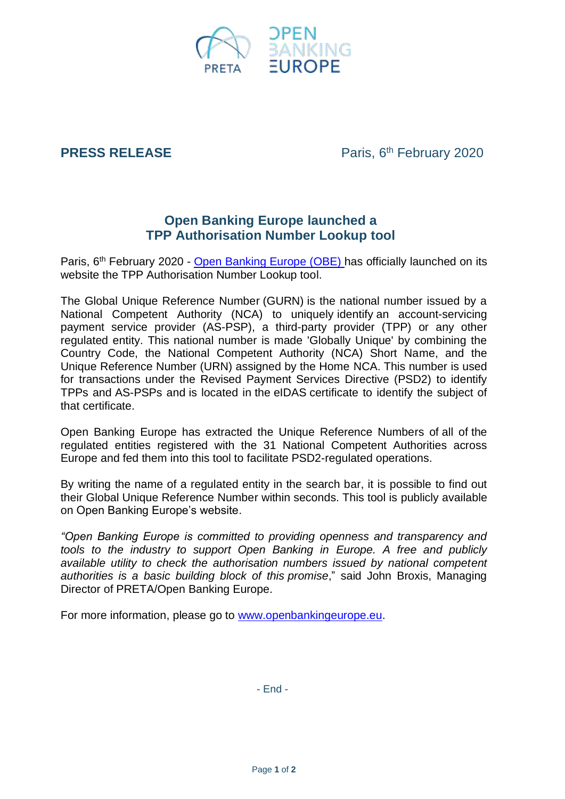

# **PRESS RELEASE**

Paris, 6<sup>th</sup> February 2020

# **Open Banking Europe launched a TPP Authorisation Number Lookup tool**

Paris, 6<sup>th</sup> February 2020 - [Open Banking Europe](http://bit.ly/389TWwY) (OBE) has officially launched on its website the TPP Authorisation Number Lookup tool.

The Global Unique Reference Number (GURN) is the national number issued by a National Competent Authority (NCA) to uniquely identify an account-servicing payment service provider (AS-PSP), a third-party provider (TPP) or any other regulated entity. This national number is made 'Globally Unique' by combining the Country Code, the National Competent Authority (NCA) Short Name, and the Unique Reference Number (URN) assigned by the Home NCA. This number is used for transactions under the Revised Payment Services Directive (PSD2) to identify TPPs and AS-PSPs and is located in the eIDAS certificate to identify the subject of that certificate.

Open Banking Europe has extracted the Unique Reference Numbers of all of the regulated entities registered with the 31 National Competent Authorities across Europe and fed them into this tool to facilitate PSD2-regulated operations.

By writing the name of a regulated entity in the search bar, it is possible to find out their Global Unique Reference Number within seconds. This tool is publicly available on Open Banking Europe's website.

*"Open Banking Europe is committed to providing openness and transparency and tools to the industry to support Open Banking in Europe. A free and publicly available utility to check the authorisation numbers issued by national competent authorities is a basic building block of this promise*," said John Broxis, Managing Director of PRETA/Open Banking Europe.

For more information, please go to [www.openbankingeurope.eu.](http://www.openbankingeurope.eu/)

- End -